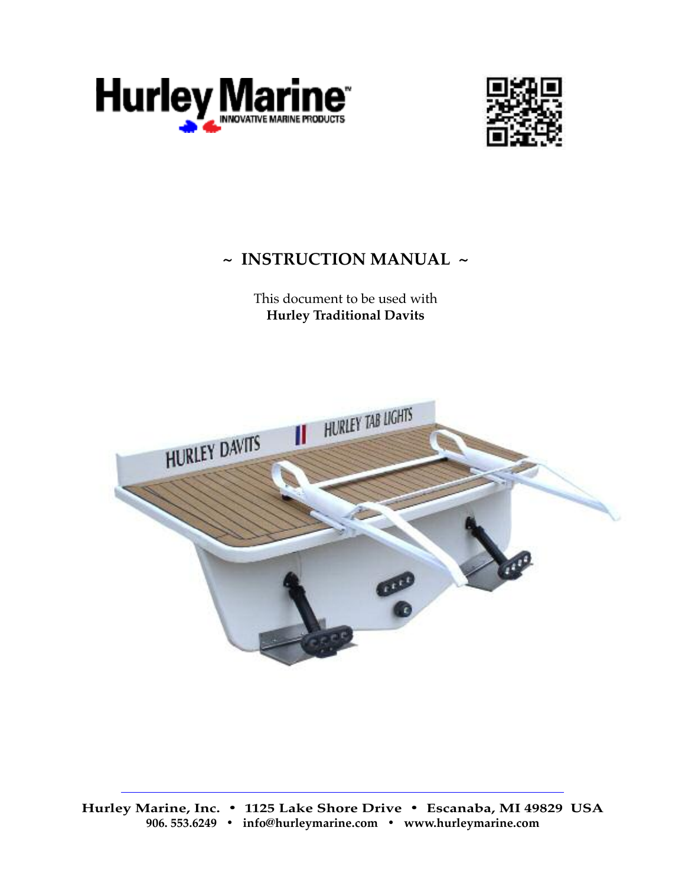



# **~ InstructIon Manual ~**

This document to be used with **Hurley traditional Davits**

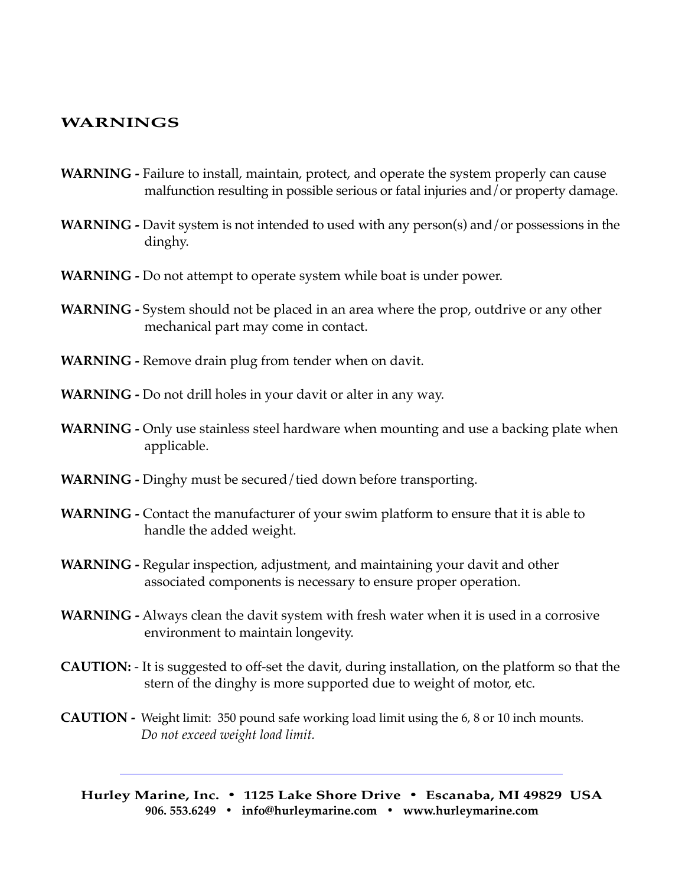## **WarnIngs**

- **WarnIng -** Failure to install, maintain, protect, and operate the system properly can cause malfunction resulting in possible serious or fatal injuries and/or property damage.
- **WARNING** Davit system is not intended to used with any person(s) and/or possessions in the dinghy.
- **WarnIng -** Do not attempt to operate system while boat is under power.
- **WARNING** System should not be placed in an area where the prop, outdrive or any other mechanical part may come in contact.
- **WARNING** Remove drain plug from tender when on davit.
- **WARNING** Do not drill holes in your davit or alter in any way.
- **WARNING** Only use stainless steel hardware when mounting and use a backing plate when applicable.
- WARNING Dinghy must be secured/tied down before transporting.
- **WARNING** Contact the manufacturer of your swim platform to ensure that it is able to handle the added weight.
- **WarnIng -** Regular inspection, adjustment, and maintaining your davit and other associated components is necessary to ensure proper operation.
- WARNING Always clean the davit system with fresh water when it is used in a corrosive environment to maintain longevity.
- **CAUTION:** It is suggested to off-set the davit, during installation, on the platform so that the stern of the dinghy is more supported due to weight of motor, etc.
- **CAUTION -** Weight limit: 350 pound safe working load limit using the 6, 8 or 10 inch mounts. *Do not exceed weight load limit.*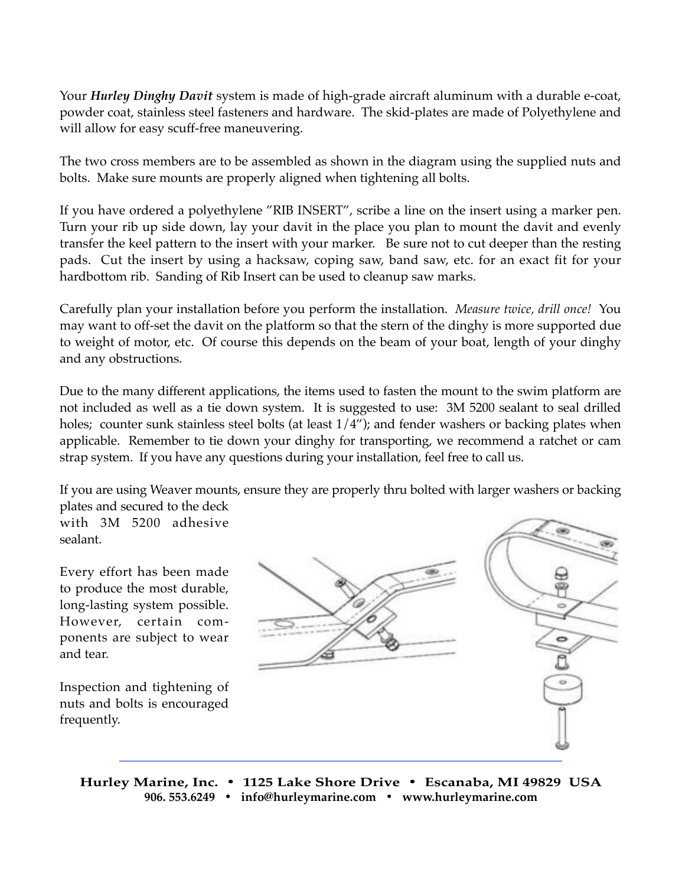Your *Hurley Dinghy Davit* system is made of high-grade aircraft aluminum with a durable e-coat, powder coat, stainless steel fasteners and hardware. The skid-plates are made of Polyethylene and will allow for easy scuff-free maneuvering.

The two cross members are to be assembled as shown in the diagram using the supplied nuts and bolts. Make sure mounts are properly aligned when tightening all bolts.

If you have ordered a polyethylene "RIB INSERT", scribe a line on the insert using a marker pen. Turn your rib up side down, lay your davit in the place you plan to mount the davit and evenly transfer the keel pattern to the insert with your marker. Be sure not to cut deeper than the resting pads. Cut the insert by using a hacksaw, coping saw, band saw, etc. for an exact fit for your hardbottom rib. Sanding of Rib Insert can be used to cleanup saw marks.

Carefully plan your installation before you perform the installation. *Measure twice, drill once!* You may want to off-set the davit on the platform so that the stern of the dinghy is more supported due to weight of motor, etc. Of course this depends on the beam of your boat, length of your dinghy and any obstructions.

Due to the many different applications, the items used to fasten the mount to the swim platform are not included as well as a tie down system. It is suggested to use: 3M 5200 sealant to seal drilled holes; counter sunk stainless steel bolts (at least  $1/4$ "); and fender washers or backing plates when applicable. Remember to tie down your dinghy for transporting, we recommend a ratchet or cam strap system. If you have any questions during your installation, feel free to call us.

If you are using Weaver mounts, ensure they are properly thru bolted with larger washers or backing plates and secured to the deck

with 3M 5200 adhesive sealant.

Every effort has been made to produce the most durable, long-lasting system possible. However, certain components are subject to wear and tear.

Inspection and tightening of nuts and bolts is encouraged frequently.

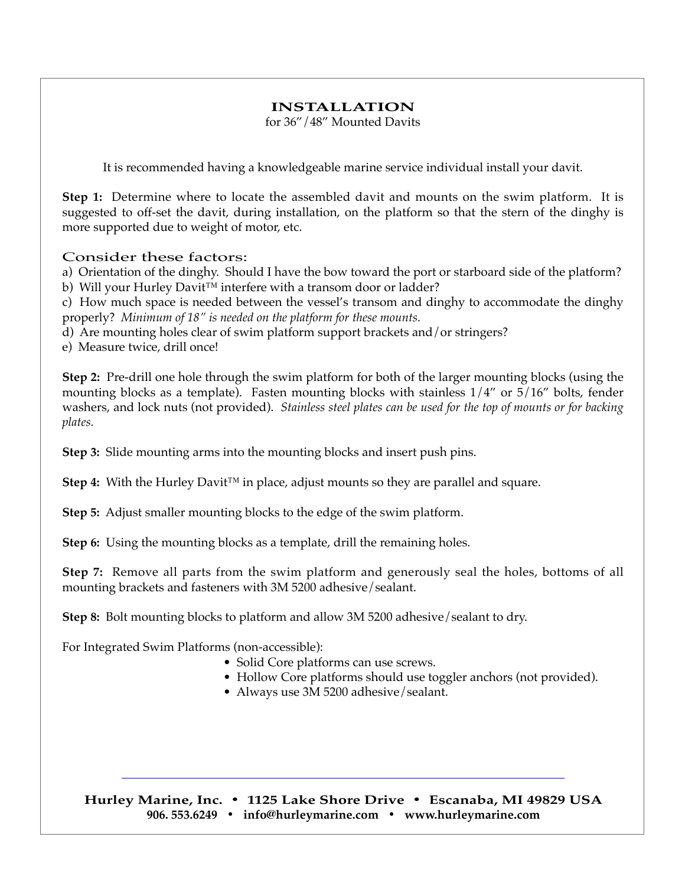## **InstallatIon**

for 36"/48" Mounted Davits

It is recommended having a knowledgeable marine service individual install your davit.

**step 1:** Determine where to locate the assembled davit and mounts on the swim platform. It is suggested to off-set the davit, during installation, on the platform so that the stern of the dinghy is more supported due to weight of motor, etc.

### Consider these factors:

a) Orientation of the dinghy. Should I have the bow toward the port or starboard side of the platform? b) Will your Hurley Davit™ interfere with a transom door or ladder?

c) How much space is needed between the vessel's transom and dinghy to accommodate the dinghy properly? *Minimum of 18" is needed on the platform for these mounts.*

d) Are mounting holes clear of swim platform support brackets and/or stringers?

e) Measure twice, drill once!

**step 2:** Pre-drill one hole through the swim platform for both of the larger mounting blocks (using the mounting blocks as a template). Fasten mounting blocks with stainless  $1/4$ " or  $5/16$ " bolts, fender washers, and lock nuts (not provided). *Stainless steel plates can be used for the top of mounts or for backing plates.*

**step 3:** Slide mounting arms into the mounting blocks and insert push pins.

**Step 4:** With the Hurley Davit™ in place, adjust mounts so they are parallel and square.

**step 5:** Adjust smaller mounting blocks to the edge of the swim platform.

**step 6:** Using the mounting blocks as a template, drill the remaining holes.

**step 7:** Remove all parts from the swim platform and generously seal the holes, bottoms of all mounting brackets and fasteners with 3M 5200 adhesive/sealant.

**step 8:** Bolt mounting blocks to platform and allow 3M 5200 adhesive/sealant to dry.

For Integrated Swim Platforms (non-accessible):

- Solid Core platforms can use screws.
- Hollow Core platforms should use toggler anchors (not provided).
- Always use 3M 5200 adhesive/sealant.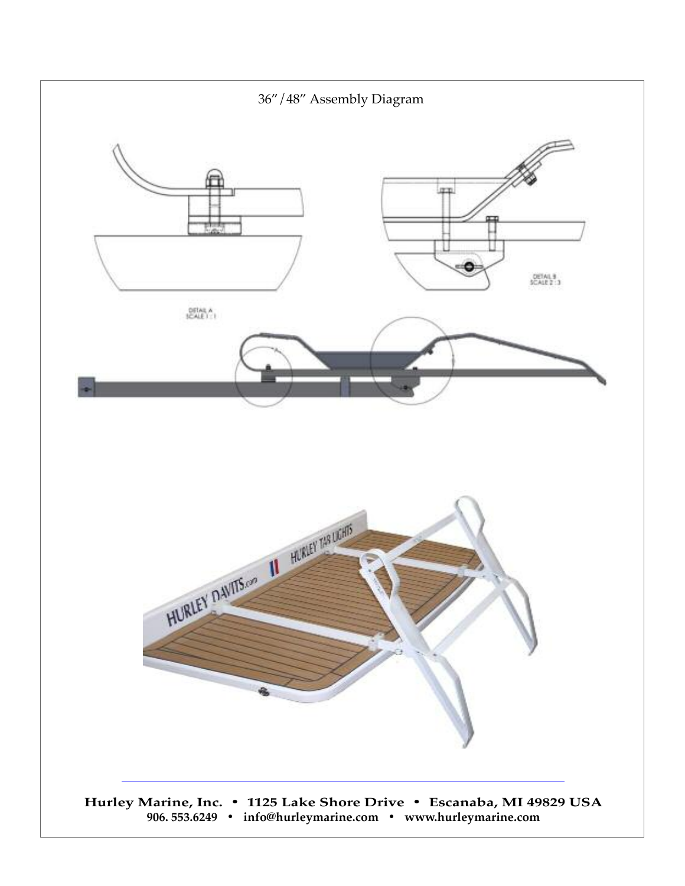